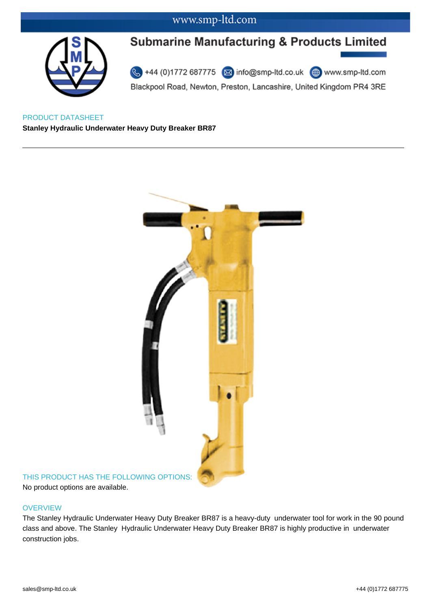### www.smp-ltd.com



# **Submarine Manufacturing & Products Limited**

44 (0)1772 687775 2 info@smp-ltd.co.uk <sup>4</sup> www.smp-ltd.com Blackpool Road, Newton, Preston, Lancashire, United Kingdom PR4 3RE

PRODUCT DATASHEET **Stanley Hydraulic Underwater Heavy Duty Breaker BR87** 



# No product options are available.

#### **OVERVIEW**

The Stanley Hydraulic Underwater Heavy Duty Breaker BR87 is a heavy-duty underwater tool for work in the 90 pound class and above. The Stanley Hydraulic Underwater Heavy Duty Breaker BR87 is highly productive in underwater construction jobs.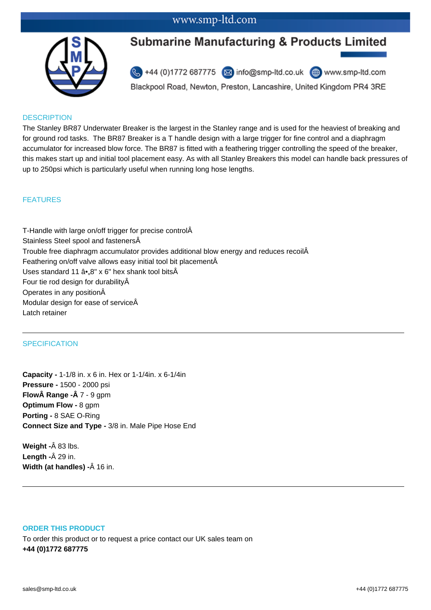## www.smp-ltd.com



# **Submarine Manufacturing & Products Limited**

44 (0)1772 687775 2 info@smp-ltd.co.uk 4 www.smp-ltd.com

Blackpool Road, Newton, Preston, Lancashire, United Kingdom PR4 3RE

#### **DESCRIPTION**

The Stanley BR87 Underwater Breaker is the largest in the Stanley range and is used for the heaviest of breaking and for ground rod tasks. The BR87 Breaker is a T handle design with a large trigger for fine control and a diaphragm accumulator for increased blow force. The BR87 is fitted with a feathering trigger controlling the speed of the breaker, this makes start up and initial tool placement easy. As with all Stanley Breakers this model can handle back pressures of up to 250psi which is particularly useful when running long hose lengths.

#### FEATURES

T-Handle with large on/off trigger for precise control Stainless Steel spool and fastenersÂ Trouble free diaphragm accumulator provides additional blow energy and reduces recoil Feathering on/off valve allows easy initial tool bit placementÂ Uses standard 11  $\hat{a}$ , 8" x 6" hex shank tool bits $\hat{A}$ Four tie rod design for durability Operates in any position Modular design for ease of service Latch retainer

#### **SPECIFICATION**

**Capacity -** 1-1/8 in. x 6 in. Hex or 1-1/4in. x 6-1/4in **Pressure -** 1500 - 2000 psi **Flow Range -Â 7 - 9 gpm Optimum Flow -** 8 gpm **Porting -** 8 SAE O-Ring **Connect Size and Type -** 3/8 in. Male Pipe Hose End

**Weight -** $\hat{A}$  83 lbs. **Length -** $\hat{A}$  29 in. **Width (at handles) -** $\hat{A}$  16 in.

#### **ORDER THIS PRODUCT**

To order this product or to request a price contact our UK sales team on **+44 (0)1772 687775**